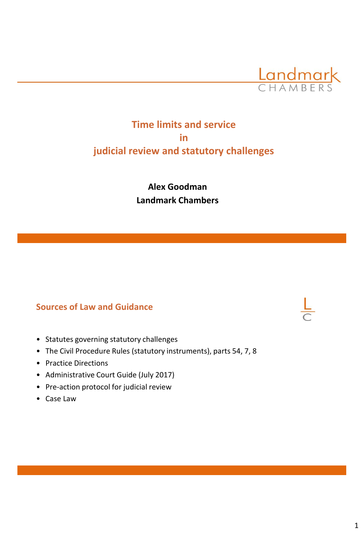

# **Time limits and service in judicial review and statutory challenges**

**Alex Goodman Landmark Chambers**

# **Sources of Law and Guidance**

- Statutes governing statutory challenges
- The Civil Procedure Rules (statutory instruments), parts 54, 7, 8
- Practice Directions
- Administrative Court Guide (July 2017)
- Pre-action protocol for judicial review
- Case Law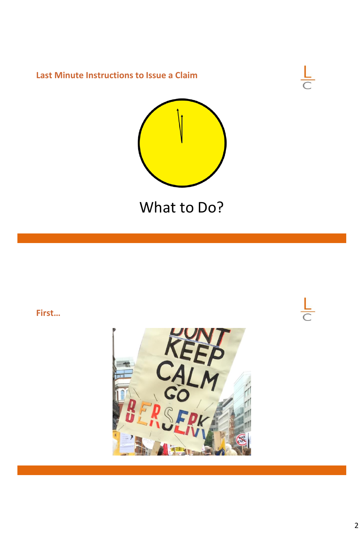**Last Minute Instructions to Issue a Claim**





What to Do?



 $\frac{L}{C}$ 

2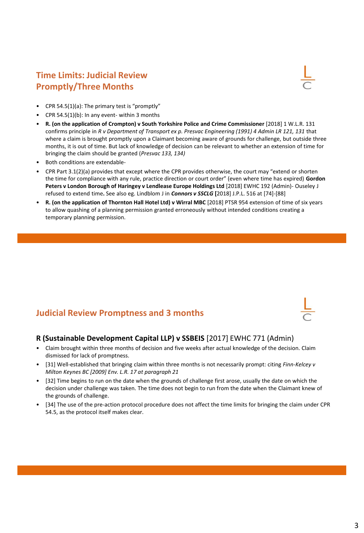# **Time Limits: Judicial Review Promptly/Three Months**



- CPR 54.5(1)(a): The primary test is "promptly"
- CPR 54.5(1)(b): In any event- within 3 months
- **R. (on the application of Crompton) v South Yorkshire Police and Crime Commissioner** [2018] 1 W.L.R. 131 confirms principle in *R v Department of Transport ex p. Presvac Engineering (1991) 4 Admin LR 121, 131* that where a claim is brought promptly upon a Claimant becoming aware of grounds for challenge, but outside three months, it is out of time. But lack of knowledge of decision can be relevant to whether an extension of time for bringing the claim should be granted (*Presvac 133, 134)*
- Both conditions are extendable-
- CPR Part 3.1(2)(a) provides that except where the CPR provides otherwise, the court may "extend or shorten the time for compliance with any rule, practice direction or court order" (even where time has expired) **Gordon Peters v London Borough of Haringey v Lendlease Europe Holdings Ltd** [2018] EWHC 192 (Admin)- Ouseley J refused to extend time**.** See also eg. Lindblom J in *Connors v SSCLG* **[**2018] J.P.L. 516 at [74]-[88]
- **R. (on the application of Thornton Hall Hotel Ltd) v Wirral MBC** [2018] PTSR 954 extension of time of six years to allow quashing of a planning permission granted erroneously without intended conditions creating a temporary planning permission.

# **Judicial Review Promptness and 3 months**

### **R (Sustainable Development Capital LLP) v SSBEIS** [2017] EWHC 771 (Admin)

- Claim brought within three months of decision and five weeks after actual knowledge of the decision. Claim dismissed for lack of promptness.
- [31] Well-established that bringing claim within three months is not necessarily prompt: citing *Finn-Kelcey v Milton Keynes BC [2009] Env. L.R. 17 at paragraph 21*
- [32] Time begins to run on the date when the grounds of challenge first arose, usually the date on which the decision under challenge was taken. The time does not begin to run from the date when the Claimant knew of the grounds of challenge.
- [34] The use of the pre-action protocol procedure does not affect the time limits for bringing the claim under CPR 54.5, as the protocol itself makes clear.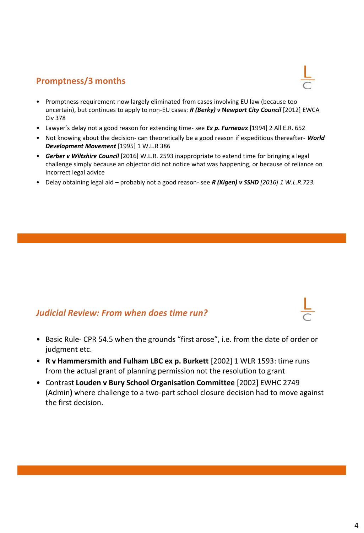# **Promptness/3 months**

- Promptness requirement now largely eliminated from cases involving EU law (because too uncertain), but continues to apply to non-EU cases: *R (Berky) v* **N***ewport City Council* [2012] EWCA Civ 378
- Lawyer's delay not a good reason for extending time- see *Ex p. Furneaux* [1994] 2 All E.R. 652
- Not knowing about the decision- can theoretically be a good reason if expeditious thereafter- *World Development Movement* [1995] 1 W.L.R 386
- *Gerber v Wiltshire Council* [2016] W.L.R. 2593 inappropriate to extend time for bringing a legal challenge simply because an objector did not notice what was happening, or because of reliance on incorrect legal advice
- Delay obtaining legal aid probably not a good reason- see *R (Kigen) v SSHD [2016] 1 W.L.R.723.*

### *Judicial Review: From when does time run?*

- Basic Rule- CPR 54.5 when the grounds "first arose", i.e. from the date of order or judgment etc.
- **R v Hammersmith and Fulham LBC ex p. Burkett** [2002] 1 WLR 1593: time runs from the actual grant of planning permission not the resolution to grant
- Contrast **Louden v Bury School Organisation Committee** [2002] EWHC 2749 (Admin**)** where challenge to a two-part school closure decision had to move against the first decision.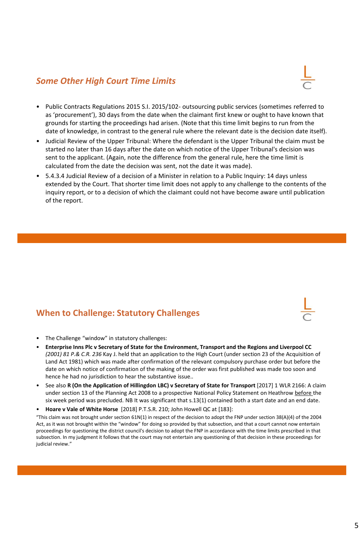### *Some Other High Court Time Limits*



- Public Contracts Regulations 2015 S.I. 2015/102- outsourcing public services (sometimes referred to as 'procurement'), 30 days from the date when the claimant first knew or ought to have known that grounds for starting the proceedings had arisen. (Note that this time limit begins to run from the date of knowledge, in contrast to the general rule where the relevant date is the decision date itself).
- Judicial Review of the Upper Tribunal: Where the defendant is the Upper Tribunal the claim must be started no later than 16 days after the date on which notice of the Upper Tribunal's decision was sent to the applicant. (Again, note the difference from the general rule, here the time limit is calculated from the date the decision was sent, not the date it was made).
- 5.4.3.4 Judicial Review of a decision of a Minister in relation to a Public Inquiry: 14 days unless extended by the Court. That shorter time limit does not apply to any challenge to the contents of the inquiry report, or to a decision of which the claimant could not have become aware until publication of the report.

# **When to Challenge: Statutory Challenges**



- The Challenge "window" in statutory challenges:
- **Enterprise Inns Plc v Secretary of State for the Environment, Transport and the Regions and Liverpool CC**  *(2001) 81 P.& C.R. 236* Kay J. held that an application to the High Court (under section 23 of the Acquisition of Land Act 1981) which was made after confirmation of the relevant compulsory purchase order but before the date on which notice of confirmation of the making of the order was first published was made too soon and hence he had no jurisdiction to hear the substantive issue..
- See also **R (On the Application of Hillingdon LBC) v Secretary of State for Transport** [2017] 1 WLR 2166: A claim under section 13 of the Planning Act 2008 to a prospective National Policy Statement on Heathrow before the six week period was precluded. NB It was significant that s.13(1) contained both a start date and an end date.
- **Hoare v Vale of White Horse** [2018] P.T.S.R. 210; John Howell QC at [183]:

"This claim was not brought under section 61N(1) in respect of the decision to adopt the FNP under section 38(A)(4) of the 2004 Act, as it was not brought within the "window" for doing so provided by that subsection, and that a court cannot now entertain proceedings for questioning the district council's decision to adopt the FNP in accordance with the time limits prescribed in that subsection. In my judgment it follows that the court may not entertain any questioning of that decision in these proceedings for judicial review."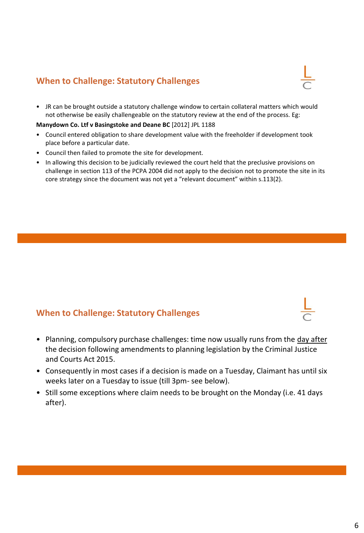• JR can be brought outside a statutory challenge window to certain collateral matters which would not otherwise be easily challengeable on the statutory review at the end of the process. Eg:

### **Manydown Co. Ltf v Basingstoke and Deane BC** [2012] JPL 1188

- Council entered obligation to share development value with the freeholder if development took place before a particular date.
- Council then failed to promote the site for development.
- In allowing this decision to be judicially reviewed the court held that the preclusive provisions on challenge in section 113 of the PCPA 2004 did not apply to the decision not to promote the site in its core strategy since the document was not yet a "relevant document" within s.113(2).

### **When to Challenge: Statutory Challenges**

- Planning, compulsory purchase challenges: time now usually runs from the day after the decision following amendments to planning legislation by the Criminal Justice and Courts Act 2015.
- Consequently in most cases if a decision is made on a Tuesday, Claimant has until six weeks later on a Tuesday to issue (till 3pm- see below).
- Still some exceptions where claim needs to be brought on the Monday (i.e. 41 days after).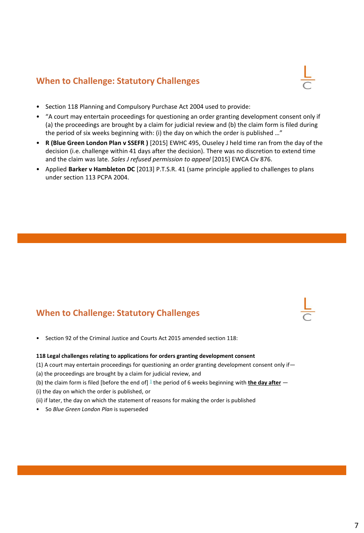

- Section 118 Planning and Compulsory Purchase Act 2004 used to provide:
- "A court may entertain proceedings for questioning an order granting development consent only if (a) the proceedings are brought by a claim for judicial review and (b) the claim form is filed during the period of six weeks beginning with: (i) the day on which the order is published …"
- **R (Blue Green London Plan v SSEFR )** [2015] EWHC 495, Ouseley J held time ran from the day of the decision (i.e. challenge within 41 days after the decision). There was no discretion to extend time and the claim was late. *Sales J refused permission to appeal* [2015] EWCA Civ 876.
- Applied **Barker v Hambleton DC** [2013] P.T.S.R. 41 (same principle applied to challenges to plans under section 113 PCPA 2004.

# **When to Challenge: Statutory Challenges**

• Section 92 of the Criminal Justice and Courts Act 2015 amended section 118:

#### **118 Legal challenges relating to applications for orders granting development consent**

(1) A court may entertain proceedings for questioning an order granting development consent only if—

(a) the proceedings are brought by a claim for judicial review, and

(b) the claim form is filed [before the end of] <sup>[1](https://login.westlaw.co.uk/maf/wluk/app/document?src=doc&linktype=ref&context=62&crumb-action=replace&docguid=I85802890C35811DDAA11A3CCA43B86C9#targetfn1)</sup> the period of 6 weeks beginning with *the day after*  $-$ 

(i) the day on which the order is published, or

(ii) if later, the day on which the statement of reasons for making the order is published

• So *Blue Green London Plan* is superseded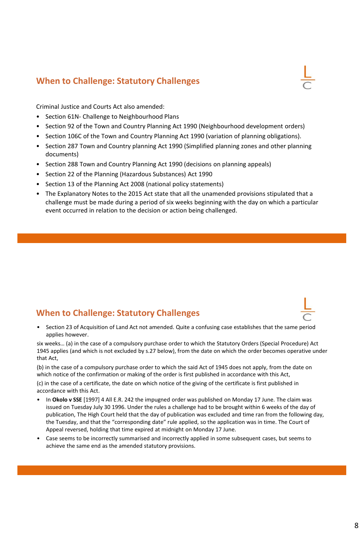

Criminal Justice and Courts Act also amended:

- Section 61N- Challenge to Neighbourhood Plans
- Section 92 of the Town and Country Planning Act 1990 (Neighbourhood development orders)
- Section 106C of the Town and Country Planning Act 1990 (variation of planning obligations).
- Section 287 Town and Country planning Act 1990 (Simplified planning zones and other planning documents)
- Section 288 Town and Country Planning Act 1990 (decisions on planning appeals)
- Section 22 of the Planning (Hazardous Substances) Act 1990
- Section 13 of the Planning Act 2008 (national policy statements)
- The Explanatory Notes to the 2015 Act state that all the unamended provisions stipulated that a challenge must be made during a period of six weeks beginning with the day on which a particular event occurred in relation to the decision or action being challenged.

# **When to Challenge: Statutory Challenges**

• Section 23 of Acquisition of Land Act not amended. Quite a confusing case establishes that the same period applies however.

six weeks… (a) in the case of a compulsory purchase order to which the Statutory Orders (Special Procedure) Act 1945 applies (and which is not excluded by s.27 below), from the date on which the order becomes operative under that Act,

(b) in the case of a compulsory purchase order to which the said Act of 1945 does not apply, from the date on which notice of the confirmation or making of the order is first published in accordance with this Act,

(c) in the case of a certificate, the date on which notice of the giving of the certificate is first published in accordance with this Act.

- In **Okolo v SSE** [1997] 4 All E.R. 242 the impugned order was published on Monday 17 June. The claim was issued on Tuesday July 30 1996. Under the rules a challenge had to be brought within 6 weeks of the day of publication, The High Court held that the day of publication was excluded and time ran from the following day, the Tuesday, and that the "corresponding date" rule applied, so the application was in time. The Court of Appeal reversed, holding that time expired at midnight on Monday 17 June.
- Case seems to be incorrectly summarised and incorrectly applied in some subsequent cases, but seems to achieve the same end as the amended statutory provisions.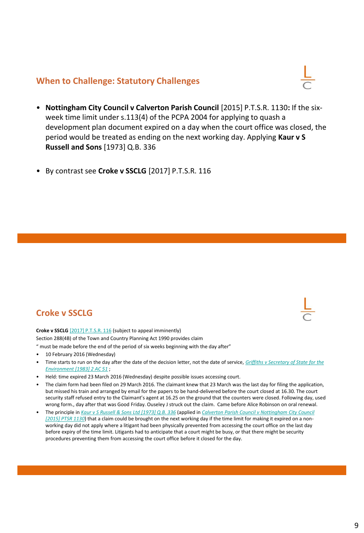

- **Nottingham City Council v Calverton Parish Council** [2015] P.T.S.R. 1130**:** If the sixweek time limit under s.113(4) of the PCPA 2004 for applying to quash a development plan document expired on a day when the court office was closed, the period would be treated as ending on the next working day. Applying **Kaur v S Russell and Sons** [1973] Q.B. 336
- By contrast see **Croke v SSCLG** [2017] P.T.S.R. 116

# **Croke v SSCLG**

#### **Croke v SSCLG** [\[2017\] P.T.S.R. 116](https://login.westlaw.co.uk/maf/wluk/app/document?src=doc&linktype=ref&context=52&crumb-action=replace&docguid=I9830BAA0FF6C11E6B4F7C8A89EFA66D9) (subject to appeal imminently)

Section 288(4B) of the Town and Country Planning Act 1990 provides claim

- " must be made before the end of the period of six weeks beginning with the day after"
- 10 February 2016 (Wednesday)
- [Time starts to run on the day after the date of the decision letter, not the date of service,](https://login.westlaw.co.uk/maf/wluk/app/document?src=doc&linktype=ref&context=6&crumb-action=replace&docguid=IB522DFB0E42711DA8FC2A0F0355337E9) *Griffiths v Secretary of State for the Environment [1983] 2 AC 51* ;
- Held: time expired 23 March 2016 (Wednesday) despite possible issues accessing court.
- The claim form had been filed on 29 March 2016. The claimant knew that 23 March was the last day for filing the application, but missed his train and arranged by email for the papers to be hand-delivered before the court closed at 16.30. The court security staff refused entry to the Claimant's agent at 16.25 on the ground that the counters were closed. Following day, used wrong form., day after that was Good Friday. Ouseley J struck out the claim. Came before Alice Robinson on oral renewal.
- The principle in *[Kaur v S Russell & Sons Ltd \[1973\] Q.B. 336](https://login.westlaw.co.uk/maf/wluk/app/document?src=doc&linktype=ref&context=52&crumb-action=replace&docguid=ID1BE0640E42711DA8FC2A0F0355337E9)* (applied in *Calverton Parish Council v Nottingham City Council [2015] PTSR 1130*[\) that a claim could be brought on the next working day if the time limit for making it expired on a non](https://login.westlaw.co.uk/maf/wluk/app/document?src=doc&linktype=ref&context=6&crumb-action=replace&docguid=I1A8F0AD0C11A11E4B545E0B379972689)working day did not apply where a litigant had been physically prevented from accessing the court office on the last day before expiry of the time limit. Litigants had to anticipate that a court might be busy, or that there might be security procedures preventing them from accessing the court office before it closed for the day.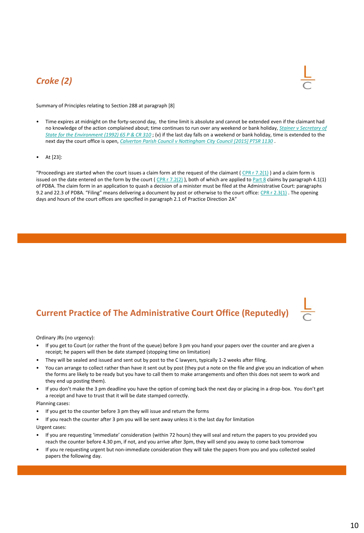# *Croke (2)*



Summary of Principles relating to Section 288 at paragraph [8]

- Time expires at midnight on the forty-second day, the time limit is absolute and cannot be extended even if the claimant had [no knowledge of the action complained about; time continues to run over any weekend or bank holiday,](https://login.westlaw.co.uk/maf/wluk/app/document?src=doc&linktype=ref&context=6&crumb-action=replace&docguid=IBE00A8F0E42811DA8FC2A0F0355337E9) *Stainer v Secretary of State for the Environment (1992) 65 P & CR 310* ; (v) if the last day falls on a weekend or bank holiday, time is extended to the next day the court office is open, *[Calverton Parish Council v Nottingham City Council \[2015\] PTSR 1130](https://login.westlaw.co.uk/maf/wluk/app/document?src=doc&linktype=ref&context=6&crumb-action=replace&docguid=I1A8F0AD0C11A11E4B545E0B379972689)* .
- At [23]:

"Proceedings are started when the court issues a claim form at the request of the claimant ( $CPR r 7.2(1)$ ) and a claim form is issued on the date entered on the form by the court (CPR  $r$  7.2(2)), both of which are applied to [Part 8](https://login.westlaw.co.uk/maf/wluk/app/document?src=doc&linktype=ref&context=6&crumb-action=replace&docguid=I0D8B98E0E45011DA8D70A0E70A78ED65) claims by paragraph 4.1(1) of PD8A. The claim form in an application to quash a decision of a minister must be filed at the Administrative Court: paragraphs 9.2 and 22.3 of PD8A. "Filing" means delivering a document by post or otherwise to the court office: [CPR r 2.3\(1\)](https://login.westlaw.co.uk/maf/wluk/app/document?src=doc&linktype=ref&context=6&crumb-action=replace&docguid=IFBF79D80E44B11DA8D70A0E70A78ED65). The opening days and hours of the court offices are specified in paragraph 2.1 of Practice Direction 2A"

# **Current Practice of The Administrative Court Office (Reputedly)**



Ordinary JRs (no urgency):

- If you get to Court (or rather the front of the queue) before 3 pm you hand your papers over the counter and are given a receipt; he papers will then be date stamped (stopping time on limitation)
- They will be sealed and issued and sent out by post to the C lawyers, typically 1-2 weeks after filing.
- You can arrange to collect rather than have it sent out by post (they put a note on the file and give you an indication of when the forms are likely to be ready but you have to call them to make arrangements and often this does not seem to work and they end up posting them).
- If you don't make the 3 pm deadline you have the option of coming back the next day or placing in a drop-box. You don't get a receipt and have to trust that it will be date stamped correctly.

Planning cases:

- If you get to the counter before 3 pm they will issue and return the forms
- If you reach the counter after 3 pm you will be sent away unless it is the last day for limitation

#### Urgent cases:

- If you are requesting 'immediate' consideration (within 72 hours) they will seal and return the papers to you provided you reach the counter before 4.30 pm, if not, and you arrive after 3pm, they will send you away to come back tomorrow
- If you re requesting urgent but non-immediate consideration they will take the papers from you and you collected sealed papers the following day.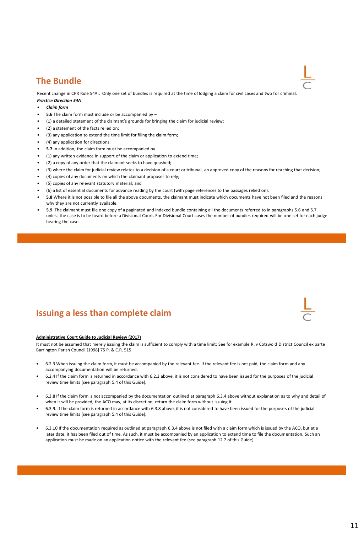### **The Bundle**

Recent change in CPR Rule 54A:. Only one set of bundles is required at the time of lodging a claim for civil cases and two for criminal. *Practice Direction 54A*

- *Claim form*
- **5.6** The claim form must include or be accompanied by –
- (1) a detailed statement of the claimant's grounds for bringing the claim for judicial review;
- (2) a statement of the facts relied on;
- (3) any application to extend the time limit for filing the claim form;
- (4) any application for directions.
- **5.7** In addition, the claim form must be accompanied by
- (1) any written evidence in support of the claim or application to extend time;
- (2) a copy of any order that the claimant seeks to have quashed;
- (3) where the claim for judicial review relates to a decision of a court or tribunal, an approved copy of the reasons for reaching that decision;
- (4) copies of any documents on which the claimant proposes to rely;
- (5) copies of any relevant statutory material; and
- (6) a list of essential documents for advance reading by the court (with page references to the passages relied on).
- **5.8** Where it is not possible to file all the above documents, the claimant must indicate which documents have not been filed and the reasons why they are not currently available.
- **5.9** The claimant must file one copy of a paginated and indexed bundle containing all the documents referred to in paragraphs 5.6 and 5.7 unless the case is to be heard before a Divisional Court. For Divisional Court cases the number of bundles required will be one set for each judge hearing the case.

# **Issuing a less than complete claim**

#### **Administrative Court Guide to Judicial Review (2017)**

It must not be assumed that merely issuing the claim is sufficient to comply with a time limit: See for example R. v Cotswold District Council ex parte Barrington Parish Council [1998] 75 P. & C.R. 515

- 6.2.3 When issuing the claim form, it must be accompanied by the relevant fee. If the relevant fee is not paid, the claim form and any accompanying documentation will be returned.
- 6.2.4 If the claim form is returned in accordance with 6.2.3 above, it is not considered to have been issued for the purposes of the judicial review time limits (see paragraph 5.4 of this Guide).
- 6.3.8 If the claim form is not accompanied by the documentation outlined at paragraph 6.3.4 above without explanation as to why and detail of when it will be provided, the ACO may, at its discretion, return the claim form without issuing it.
- 6.3.9. If the claim form is returned in accordance with 6.3.8 above, it is not considered to have been issued for the purposes of the judicial review time limits (see paragraph 5.4 of this Guide).
- 6.3.10 If the documentation required as outlined at paragraph 6.3.4 above is not filed with a claim form which is issued by the ACO, but at a later date, it has been filed out of time. As such, it must be accompanied by an application to extend time to file the documentation. Such an application must be made on an application notice with the relevant fee (see paragraph 12.7 of this Guide).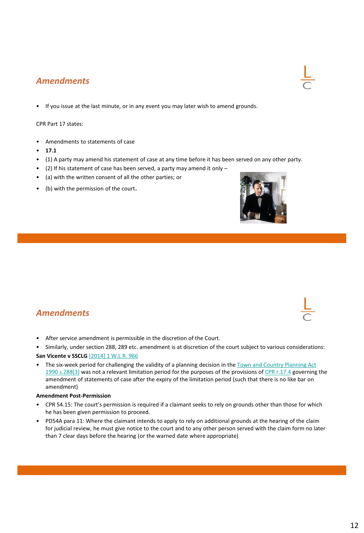# *Amendments*

• If you issue at the last minute, or in any event you may later wish to amend grounds.

#### CPR Part 17 states:

- Amendments to statements of case
- **17.1**
- (1) A party may amend his statement of case at any time before it has been served on any other party.
- $\bullet$  (2) If his statement of case has been served, a party may amend it only  $-$
- (a) with the written consent of all the other parties; or
- (b) with the permission of the court.



### *Amendments*

- After service amendment is permissible in the discretion of the Court.
- Similarly, under section 288, 289 etc. amendment is at discretion of the court subject to various considerations:

#### **San Vicente v SSCLG** [\[2014\] 1 W.L.R. 966](https://login.westlaw.co.uk/maf/wluk/app/document?&src=ri&docguid=I21CA68D0B34711E3A0D79CEB36D9F287&refer=%2Fmaf%2Fwluk%2Fapp%2Fdocument%3Flinktype%3Dref%26crumb-action%3Dreplace%26context%3D24%26src%3Ddoc%26docguid%3DIBC0162C0E5CD11E2B978DBDAE5E0F023&crumb-action=append&context=26)

• [The six-week period for challenging the validity of a planning decision in the Town and Country Planning Act](https://login.westlaw.co.uk/maf/wluk/app/document?src=doc&linktype=ref&context=26&crumb-action=replace&docguid=I125049B0E44C11DA8D70A0E70A78ED65) 1990 s.288(3) was not a relevant limitation period for the purposes of the provisions of [CPR r.17.4](https://login.westlaw.co.uk/maf/wluk/app/document?src=doc&linktype=ref&context=26&crumb-action=replace&docguid=IEAED80B1E44911DA8D70A0E70A78ED65) governing the amendment of statements of case after the expiry of the limitation period (such that there is no like bar on amendment)

#### **Amendment Post-Permission**

- CPR 54.15: The court's permission is required if a claimant seeks to rely on grounds other than those for which he has been given permission to proceed.
- PD54A para 11: Where the claimant intends to apply to rely on additional grounds at the hearing of the claim for judicial review, he must give notice to the court and to any other person served with the claim form no later than 7 clear days before the hearing (or the warned date where appropriate)



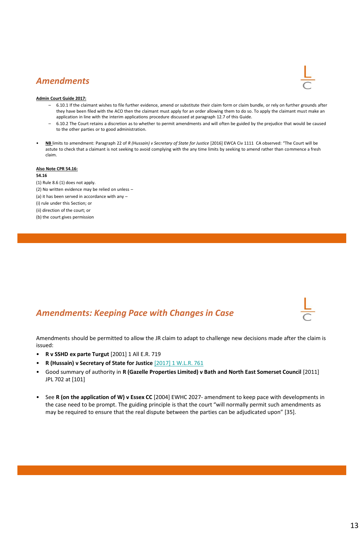### *Amendments*

#### **Admin Court Guide 2017:**

- 6.10.1 If the claimant wishes to file further evidence, amend or substitute their claim form or claim bundle, or rely on further grounds after they have been filed with the ACO then the claimant must apply for an order allowing them to do so. To apply the claimant must make an application in line with the interim applications procedure discussed at paragraph 12.7 of this Guide.
- 6.10.2 The Court retains a discretion as to whether to permit amendments and will often be guided by the prejudice that would be caused to the other parties or to good administration.
- **NB** limits to amendment: Paragraph 22 of *R (Hussain) v Secretary of State for Justice* [2016] EWCA Civ 1111 CA observed: "The Court will be astute to check that a claimant is not seeking to avoid complying with the any time limits by seeking to amend rather than commence a fresh claim.

#### **Also Note CPR 54.16:**

#### **54.16**

- (1) Rule 8.6 (1) does not apply.
- (2) No written evidence may be relied on unless –
- (a) it has been served in accordance with any –
- (i) rule under this Section; or
- (ii) direction of the court; or
- (b) the court gives permission

### *Amendments: Keeping Pace with Changes in Case*

Amendments should be permitted to allow the JR claim to adapt to challenge new decisions made after the claim is issued:

- **R v SSHD ex parte Turgut** [2001] 1 All E.R. 719
- **R (Hussain) v Secretary of State for Justice** [\[2017\] 1 W.L.R. 761](https://login.westlaw.co.uk/maf/wluk/app/document?src=doc&linktype=ref&context=36&crumb-action=replace&docguid=I655A7530029111E791C48DFD30BFAF9B)
- Good summary of authority in **R (Gazelle Properties Limited) v Bath and North East Somerset Council** [2011] JPL 702 at [101]
- See **R (on the application of W) v Essex CC** [2004] EWHC 2027- amendment to keep pace with developments in the case need to be prompt. The guiding principle is that the court "will normally permit such amendments as may be required to ensure that the real dispute between the parties can be adjudicated upon" [35].